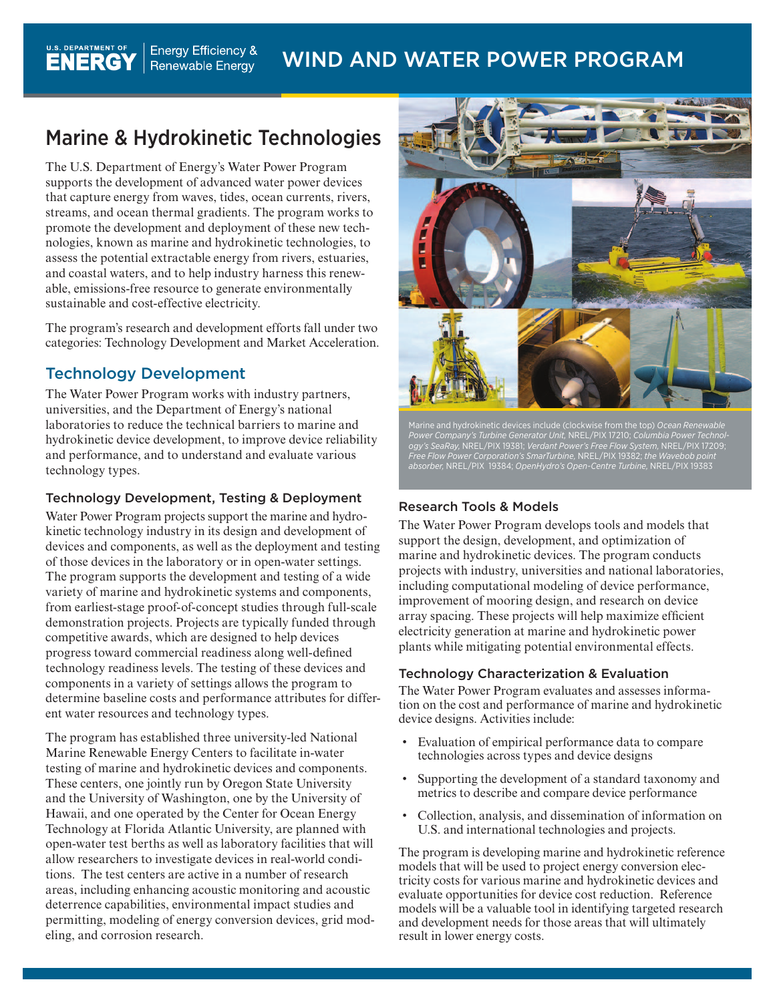# Marine & Hydrokinetic Technologies

**Energy Efficiency &** 

Renewable Energy

The U.S. Department of Energy's Water Power Program supports the development of advanced water power devices that capture energy from waves, tides, ocean currents, rivers, streams, and ocean thermal gradients. The program works to promote the development and deployment of these new technologies, known as marine and hydrokinetic technologies, to assess the potential extractable energy from rivers, estuaries, and coastal waters, and to help industry harness this renewable, emissions-free resource to generate environmentally sustainable and cost-effective electricity.

The program's research and development efforts fall under two categories: Technology Development and Market Acceleration.

### Technology Development

U.S. DEPARTMENT OF

**ENERGY** 

The Water Power Program works with industry partners, universities, and the Department of Energy's national laboratories to reduce the technical barriers to marine and hydrokinetic device development, to improve device reliability and performance, and to understand and evaluate various technology types.

### Technology Development, Testing & Deployment

Water Power Program projects support the marine and hydrokinetic technology industry in its design and development of devices and components, as well as the deployment and testing of those devices in the laboratory or in open-water settings. The program supports the development and testing of a wide variety of marine and hydrokinetic systems and components, from earliest-stage proof-of-concept studies through full-scale demonstration projects. Projects are typically funded through competitive awards, which are designed to help devices progress toward commercial readiness along well-defined technology readiness levels. The testing of these devices and components in a variety of settings allows the program to determine baseline costs and performance attributes for different water resources and technology types.

The program has established three university-led National Marine Renewable Energy Centers to facilitate in-water testing of marine and hydrokinetic devices and components. These centers, one jointly run by Oregon State University and the University of Washington, one by the University of Hawaii, and one operated by the Center for Ocean Energy Technology at Florida Atlantic University, are planned with open-water test berths as well as laboratory facilities that will allow researchers to investigate devices in real-world conditions. The test centers are active in a number of research areas, including enhancing acoustic monitoring and acoustic deterrence capabilities, environmental impact studies and permitting, modeling of energy conversion devices, grid modeling, and corrosion research.



Marine and hydrokinetic devices include (clockwise from the top) *Ocean Renewable Power Company's Turbine Generator Unit,* NREL/PIX 17210; *Columbia Power Technology's SeaRay,* NREL/PIX 19381; *Verdant Power's Free Flow System,* NREL/PIX 17209; *Free Flow Power Corporation's SmarTurbine,* NREL/PIX 19382; *the Wavebob point absorber,* NREL/PIX 19384; *OpenHydro's Open-Centre Turbine,* NREL/PIX 19383

#### Research Tools & Models

The Water Power Program develops tools and models that support the design, development, and optimization of marine and hydrokinetic devices. The program conducts projects with industry, universities and national laboratories, including computational modeling of device performance, improvement of mooring design, and research on device array spacing. These projects will help maximize efficient electricity generation at marine and hydrokinetic power plants while mitigating potential environmental effects.

#### Technology Characterization & Evaluation

The Water Power Program evaluates and assesses information on the cost and performance of marine and hydrokinetic device designs. Activities include:

- • Evaluation of empirical performance data to compare technologies across types and device designs
- Supporting the development of a standard taxonomy and metrics to describe and compare device performance
- • Collection, analysis, and dissemination of information on U.S. and international technologies and projects.

The program is developing marine and hydrokinetic reference models that will be used to project energy conversion electricity costs for various marine and hydrokinetic devices and evaluate opportunities for device cost reduction. Reference models will be a valuable tool in identifying targeted research and development needs for those areas that will ultimately result in lower energy costs.